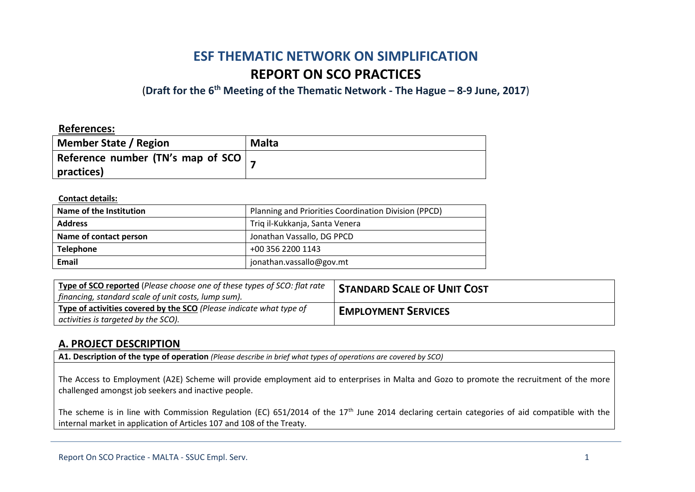# **ESF THEMATIC NETWORK ON SIMPLIFICATION REPORT ON SCO PRACTICES**

(**Draft for the 6th Meeting of the Thematic Network - The Hague – 8-9 June, 2017**)

## **References:**

| Member State / Region             | <b>Malta</b> |
|-----------------------------------|--------------|
| Reference number (TN's map of SCO |              |
| practices)                        |              |

#### **Contact details:**

| Name of the Institution | Planning and Priorities Coordination Division (PPCD) |
|-------------------------|------------------------------------------------------|
| <b>Address</b>          | Triq il-Kukkanja, Santa Venera                       |
| Name of contact person  | Jonathan Vassallo, DG PPCD                           |
| <b>Telephone</b>        | +00 356 2200 1143                                    |
| Email                   | jonathan.vassallo@gov.mt                             |

| Type of SCO reported (Please choose one of these types of SCO: flat rate<br>financing, standard scale of unit costs, lump sum). | <b>STANDARD SCALE OF UNIT COST</b> |
|---------------------------------------------------------------------------------------------------------------------------------|------------------------------------|
| Type of activities covered by the SCO (Please indicate what type of<br>activities is targeted by the SCO).                      | <b>EMPLOYMENT SERVICES</b>         |

## **A. PROJECT DESCRIPTION**

**A1. Description of the type of operation** *(Please describe in brief what types of operations are covered by SCO)*

The Access to Employment (A2E) Scheme will provide employment aid to enterprises in Malta and Gozo to promote the recruitment of the more challenged amongst job seekers and inactive people.

The scheme is in line with Commission Regulation (EC) 651/2014 of the 17<sup>th</sup> June 2014 declaring certain categories of aid compatible with the internal market in application of Articles 107 and 108 of the Treaty.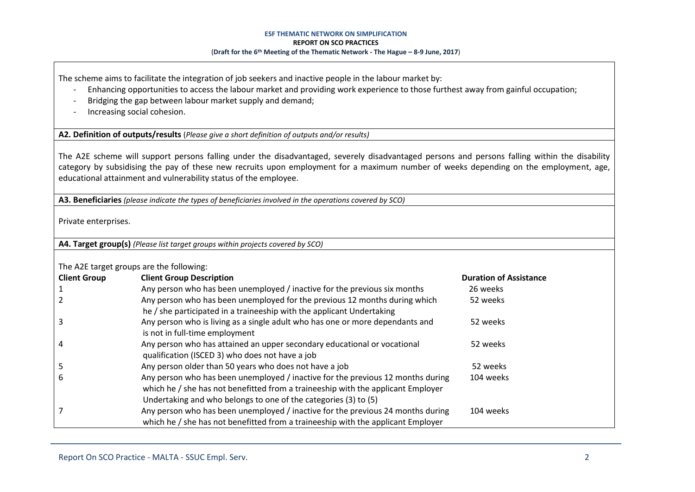The scheme aims to facilitate the integration of job seekers and inactive people in the labour market by:

- Enhancing opportunities to access the labour market and providing work experience to those furthest away from gainful occupation;
- Bridging the gap between labour market supply and demand;
- Increasing social cohesion.

**A2. Definition of outputs/results** (*Please give a short definition of outputs and/or results)*

The A2E scheme will support persons falling under the disadvantaged, severely disadvantaged persons and persons falling within the disability category by subsidising the pay of these new recruits upon employment for a maximum number of weeks depending on the employment, age, educational attainment and vulnerability status of the employee.

**A3. Beneficiaries** *(please indicate the types of beneficiaries involved in the operations covered by SCO)*

Private enterprises.

**A4. Target group(s)** *(Please list target groups within projects covered by SCO)*

The A2E target groups are the following:

| THE ALL target groups are the following. |                                                                                                                                                                                                                                        |                               |  |  |  |
|------------------------------------------|----------------------------------------------------------------------------------------------------------------------------------------------------------------------------------------------------------------------------------------|-------------------------------|--|--|--|
| <b>Client Group</b>                      | <b>Client Group Description</b>                                                                                                                                                                                                        | <b>Duration of Assistance</b> |  |  |  |
|                                          | Any person who has been unemployed / inactive for the previous six months                                                                                                                                                              | 26 weeks                      |  |  |  |
|                                          | Any person who has been unemployed for the previous 12 months during which<br>he / she participated in a traineeship with the applicant Undertaking                                                                                    | 52 weeks                      |  |  |  |
|                                          | Any person who is living as a single adult who has one or more dependants and<br>is not in full-time employment                                                                                                                        | 52 weeks                      |  |  |  |
|                                          | Any person who has attained an upper secondary educational or vocational<br>qualification (ISCED 3) who does not have a job                                                                                                            | 52 weeks                      |  |  |  |
|                                          | Any person older than 50 years who does not have a job                                                                                                                                                                                 | 52 weeks                      |  |  |  |
|                                          | Any person who has been unemployed / inactive for the previous 12 months during<br>which he / she has not benefitted from a traineeship with the applicant Employer<br>Undertaking and who belongs to one of the categories (3) to (5) | 104 weeks                     |  |  |  |
|                                          | Any person who has been unemployed / inactive for the previous 24 months during<br>which he / she has not benefitted from a traineeship with the applicant Employer                                                                    | 104 weeks                     |  |  |  |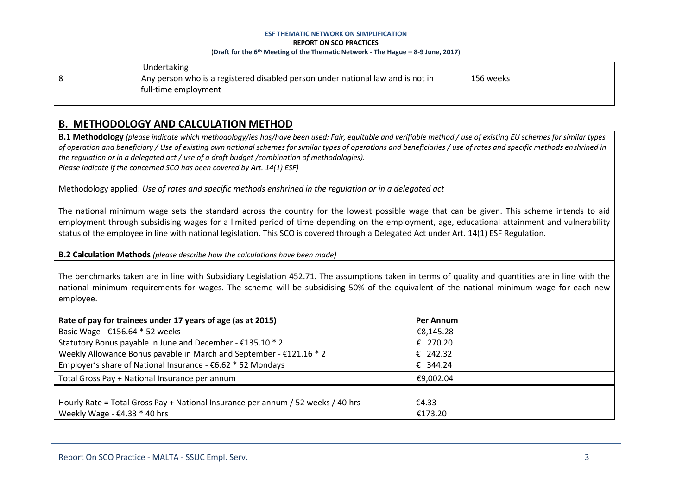Undertaking 8 Any person who is a registered disabled person under national law and is not in 156 weeks full-time employment

# **B. METHODOLOGY AND CALCULATION METHOD**

**B.1 Methodology** *(please indicate which methodology/ies has/have been used: Fair, equitable and verifiable method / use of existing EU schemes for similar types of operation and beneficiary / Use of existing own national schemes for similar types of operations and beneficiaries / use of rates and specific methods enshrined in the regulation or in a delegated act / use of a draft budget /combination of methodologies). Please indicate if the concerned SCO has been covered by Art. 14(1) ESF)*

Methodology applied: *Use of rates and specific methods enshrined in the regulation or in a delegated act*

The national minimum wage sets the standard across the country for the lowest possible wage that can be given. This scheme intends to aid employment through subsidising wages for a limited period of time depending on the employment, age, educational attainment and vulnerability status of the employee in line with national legislation. This SCO is covered through a Delegated Act under Art. 14(1) ESF Regulation.

**B.2 Calculation Methods** *(please describe how the calculations have been made)*

The benchmarks taken are in line with Subsidiary Legislation 452.71. The assumptions taken in terms of quality and quantities are in line with the national minimum requirements for wages. The scheme will be subsidising 50% of the equivalent of the national minimum wage for each new employee.

| Rate of pay for trainees under 17 years of age (as at 2015)                      | Per Annum |
|----------------------------------------------------------------------------------|-----------|
| Basic Wage - €156.64 $*$ 52 weeks                                                | €8,145.28 |
| Statutory Bonus payable in June and December - €135.10 * 2                       | € 270.20  |
| Weekly Allowance Bonus payable in March and September - €121.16 * 2              | € 242.32  |
| Employer's share of National Insurance - €6.62 * 52 Mondays                      | € 344.24  |
| Total Gross Pay + National Insurance per annum                                   | €9.002.04 |
|                                                                                  |           |
| Hourly Rate = Total Gross Pay + National Insurance per annum / 52 weeks / 40 hrs | €4.33     |
| Weekly Wage - $\epsilon$ 4.33 $*$ 40 hrs                                         | €173.20   |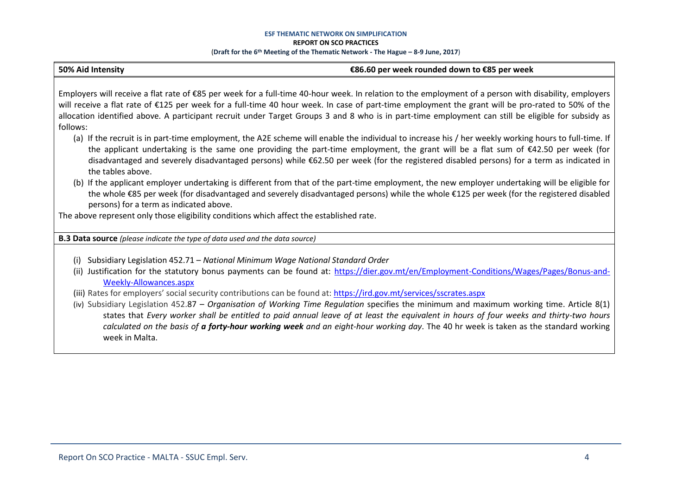#### **50% Aid Intensity €86.60 per week rounded down to €85 per week**

Employers will receive a flat rate of €85 per week for a full-time 40-hour week. In relation to the employment of a person with disability, employers will receive a flat rate of €125 per week for a full-time 40 hour week. In case of part-time employment the grant will be pro-rated to 50% of the allocation identified above. A participant recruit under Target Groups 3 and 8 who is in part-time employment can still be eligible for subsidy as follows:

- (a) If the recruit is in part-time employment, the A2E scheme will enable the individual to increase his / her weekly working hours to full-time. If the applicant undertaking is the same one providing the part-time employment, the grant will be a flat sum of €42.50 per week (for disadvantaged and severely disadvantaged persons) while €62.50 per week (for the registered disabled persons) for a term as indicated in the tables above.
- (b) If the applicant employer undertaking is different from that of the part-time employment, the new employer undertaking will be eligible for the whole €85 per week (for disadvantaged and severely disadvantaged persons) while the whole €125 per week (for the registered disabled persons) for a term as indicated above.

The above represent only those eligibility conditions which affect the established rate.

**B.3 Data source** *(please indicate the type of data used and the data source)*

- (i) Subsidiary Legislation 452.71 *National Minimum Wage National Standard Order*
- (ii) Justification for the statutory bonus payments can be found at: [https://dier.gov.mt/en/Employment-Conditions/Wages/Pages/Bonus-and-](https://dier.gov.mt/en/Employment-Conditions/Wages/Pages/Bonus-and-Weekly-Allowances.aspx)[Weekly-Allowances.aspx](https://dier.gov.mt/en/Employment-Conditions/Wages/Pages/Bonus-and-Weekly-Allowances.aspx)
- (iii) Rates for employers' social security contributions can be found at: <https://ird.gov.mt/services/sscrates.aspx>
- (iv) Subsidiary Legislation 452.87 *Organisation of Working Time Regulation* specifies the minimum and maximum working time. Article 8(1) states that *Every worker shall be entitled to paid annual leave of at least the equivalent in hours of four weeks and thirty-two hours calculated on the basis of a forty-hour working week and an eight-hour working day*. The 40 hr week is taken as the standard working week in Malta.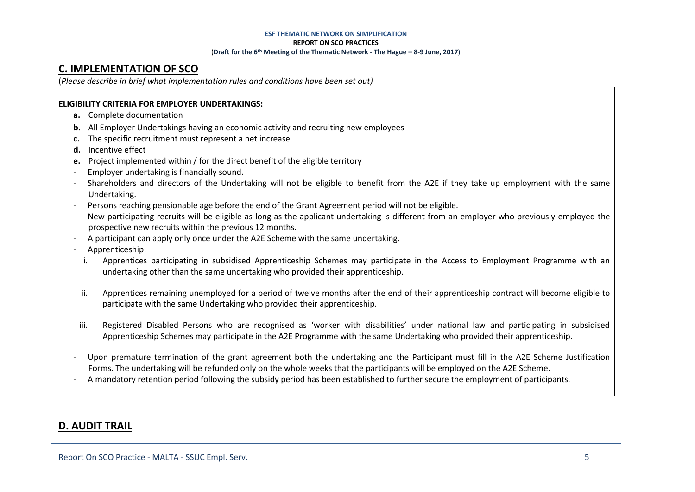# **C. IMPLEMENTATION OF SCO**

(*Please describe in brief what implementation rules and conditions have been set out)*

## **ELIGIBILITY CRITERIA FOR EMPLOYER UNDERTAKINGS:**

- **a.** Complete documentation
- **b.** All Employer Undertakings having an economic activity and recruiting new employees
- **c.** The specific recruitment must represent a net increase
- **d.** Incentive effect
- **e.** Project implemented within / for the direct benefit of the eligible territory
- Employer undertaking is financially sound.
- Shareholders and directors of the Undertaking will not be eligible to benefit from the A2E if they take up employment with the same Undertaking.
- Persons reaching pensionable age before the end of the Grant Agreement period will not be eligible.
- New participating recruits will be eligible as long as the applicant undertaking is different from an employer who previously employed the prospective new recruits within the previous 12 months.
- A participant can apply only once under the A2E Scheme with the same undertaking.
- Apprenticeship:
	- i. Apprentices participating in subsidised Apprenticeship Schemes may participate in the Access to Employment Programme with an undertaking other than the same undertaking who provided their apprenticeship.
- ii. Apprentices remaining unemployed for a period of twelve months after the end of their apprenticeship contract will become eligible to participate with the same Undertaking who provided their apprenticeship.
- iii. Registered Disabled Persons who are recognised as 'worker with disabilities' under national law and participating in subsidised Apprenticeship Schemes may participate in the A2E Programme with the same Undertaking who provided their apprenticeship.
- Upon premature termination of the grant agreement both the undertaking and the Participant must fill in the A2E Scheme Justification Forms. The undertaking will be refunded only on the whole weeks that the participants will be employed on the A2E Scheme.
- A mandatory retention period following the subsidy period has been established to further secure the employment of participants.

# **D. AUDIT TRAIL**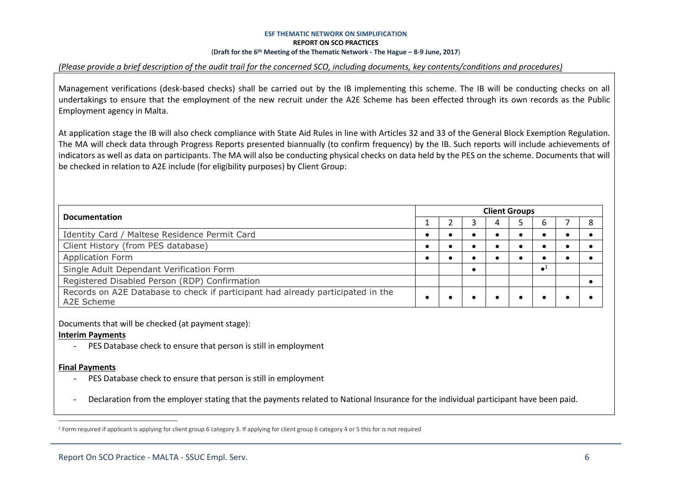### *(Please provide a brief description of the audit trail for the concerned SCO, including documents, key contents/conditions and procedures)*

Management verifications (desk-based checks) shall be carried out by the IB implementing this scheme. The IB will be conducting checks on all undertakings to ensure that the employment of the new recruit under the A2E Scheme has been effected through its own records as the Public Employment agency in Malta.

At application stage the IB will also check compliance with State Aid Rules in line with Articles 32 and 33 of the General Block Exemption Regulation. The MA will check data through Progress Reports presented biannually (to confirm frequency) by the IB. Such reports will include achievements of indicators as well as data on participants. The MA will also be conducting physical checks on data held by the PES on the scheme. Documents that will be checked in relation to A2E include (for eligibility purposes) by Client Group:

| <b>Documentation</b>                                                                          | <b>Client Groups</b> |  |  |  |  |             |  |   |  |  |
|-----------------------------------------------------------------------------------------------|----------------------|--|--|--|--|-------------|--|---|--|--|
|                                                                                               |                      |  |  |  |  |             |  | 8 |  |  |
| Identity Card / Maltese Residence Permit Card                                                 |                      |  |  |  |  |             |  |   |  |  |
| Client History (from PES database)                                                            |                      |  |  |  |  |             |  |   |  |  |
| <b>Application Form</b>                                                                       |                      |  |  |  |  |             |  |   |  |  |
| Single Adult Dependant Verification Form                                                      |                      |  |  |  |  | $\bullet^1$ |  |   |  |  |
| Registered Disabled Person (RDP) Confirmation                                                 |                      |  |  |  |  |             |  |   |  |  |
| Records on A2E Database to check if participant had already participated in the<br>A2E Scheme |                      |  |  |  |  |             |  |   |  |  |

Documents that will be checked (at payment stage):

## **Interim Payments**

PES Database check to ensure that person is still in employment

## **Final Payments**

 $\overline{a}$ 

- PES Database check to ensure that person is still in employment
- Declaration from the employer stating that the payments related to National Insurance for the individual participant have been paid.

<sup>&</sup>lt;sup>1</sup> Form required if applicant is applying for client group 6 category 3. If applying for client group 6 category 4 or 5 this for is not required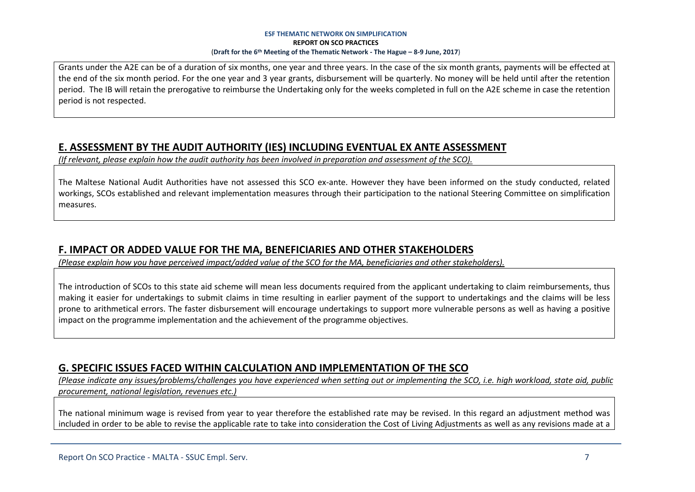Grants under the A2E can be of a duration of six months, one year and three years. In the case of the six month grants, payments will be effected at the end of the six month period. For the one year and 3 year grants, disbursement will be quarterly. No money will be held until after the retention period. The IB will retain the prerogative to reimburse the Undertaking only for the weeks completed in full on the A2E scheme in case the retention period is not respected.

# **E. ASSESSMENT BY THE AUDIT AUTHORITY (IES) INCLUDING EVENTUAL EX ANTE ASSESSMENT**

*(If relevant, please explain how the audit authority has been involved in preparation and assessment of the SCO).* 

The Maltese National Audit Authorities have not assessed this SCO ex-ante. However they have been informed on the study conducted, related workings, SCOs established and relevant implementation measures through their participation to the national Steering Committee on simplification measures.

# **F. IMPACT OR ADDED VALUE FOR THE MA, BENEFICIARIES AND OTHER STAKEHOLDERS**

*(Please explain how you have perceived impact/added value of the SCO for the MA, beneficiaries and other stakeholders).* 

The introduction of SCOs to this state aid scheme will mean less documents required from the applicant undertaking to claim reimbursements, thus making it easier for undertakings to submit claims in time resulting in earlier payment of the support to undertakings and the claims will be less prone to arithmetical errors. The faster disbursement will encourage undertakings to support more vulnerable persons as well as having a positive impact on the programme implementation and the achievement of the programme objectives.

# **G. SPECIFIC ISSUES FACED WITHIN CALCULATION AND IMPLEMENTATION OF THE SCO**

*(Please indicate any issues/problems/challenges you have experienced when setting out or implementing the SCO, i.e. high workload, state aid, public procurement, national legislation, revenues etc.)*

The national minimum wage is revised from year to year therefore the established rate may be revised. In this regard an adjustment method was included in order to be able to revise the applicable rate to take into consideration the Cost of Living Adjustments as well as any revisions made at a